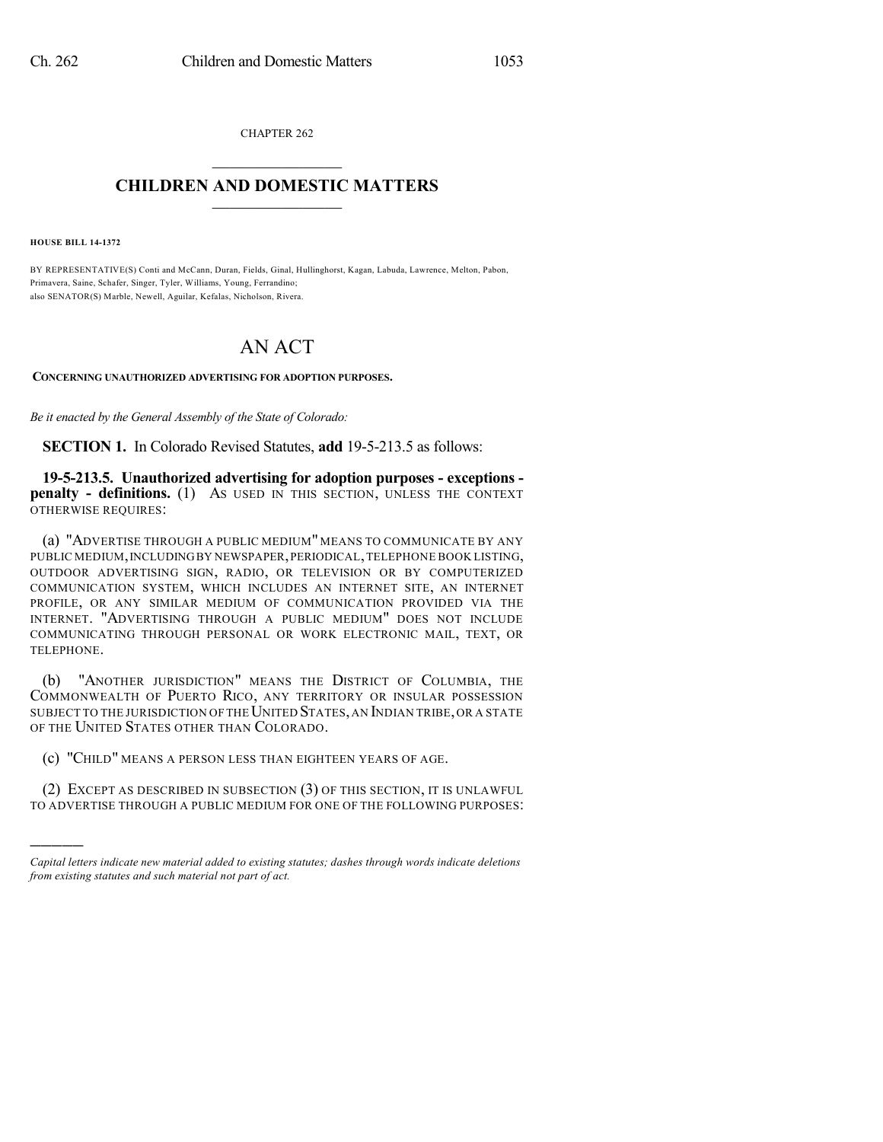CHAPTER 262  $\overline{\phantom{a}}$  . The set of the set of the set of the set of the set of the set of the set of the set of the set of the set of the set of the set of the set of the set of the set of the set of the set of the set of the set o

## **CHILDREN AND DOMESTIC MATTERS**  $\_$

**HOUSE BILL 14-1372**

)))))

BY REPRESENTATIVE(S) Conti and McCann, Duran, Fields, Ginal, Hullinghorst, Kagan, Labuda, Lawrence, Melton, Pabon, Primavera, Saine, Schafer, Singer, Tyler, Williams, Young, Ferrandino; also SENATOR(S) Marble, Newell, Aguilar, Kefalas, Nicholson, Rivera.

## AN ACT

**CONCERNING UNAUTHORIZED ADVERTISING FOR ADOPTION PURPOSES.**

*Be it enacted by the General Assembly of the State of Colorado:*

**SECTION 1.** In Colorado Revised Statutes, **add** 19-5-213.5 as follows:

**19-5-213.5. Unauthorized advertising for adoption purposes - exceptions penalty - definitions.** (1) AS USED IN THIS SECTION, UNLESS THE CONTEXT OTHERWISE REQUIRES:

(a) "ADVERTISE THROUGH A PUBLIC MEDIUM" MEANS TO COMMUNICATE BY ANY PUBLIC MEDIUM,INCLUDINGBY NEWSPAPER,PERIODICAL,TELEPHONE BOOK LISTING, OUTDOOR ADVERTISING SIGN, RADIO, OR TELEVISION OR BY COMPUTERIZED COMMUNICATION SYSTEM, WHICH INCLUDES AN INTERNET SITE, AN INTERNET PROFILE, OR ANY SIMILAR MEDIUM OF COMMUNICATION PROVIDED VIA THE INTERNET. "ADVERTISING THROUGH A PUBLIC MEDIUM" DOES NOT INCLUDE COMMUNICATING THROUGH PERSONAL OR WORK ELECTRONIC MAIL, TEXT, OR TELEPHONE.

(b) "ANOTHER JURISDICTION" MEANS THE DISTRICT OF COLUMBIA, THE COMMONWEALTH OF PUERTO RICO, ANY TERRITORY OR INSULAR POSSESSION SUBJECT TO THE JURISDICTION OF THE UNITED STATES, AN INDIAN TRIBE, OR A STATE OF THE UNITED STATES OTHER THAN COLORADO.

(c) "CHILD" MEANS A PERSON LESS THAN EIGHTEEN YEARS OF AGE.

(2) EXCEPT AS DESCRIBED IN SUBSECTION (3) OF THIS SECTION, IT IS UNLAWFUL TO ADVERTISE THROUGH A PUBLIC MEDIUM FOR ONE OF THE FOLLOWING PURPOSES:

*Capital letters indicate new material added to existing statutes; dashes through words indicate deletions from existing statutes and such material not part of act.*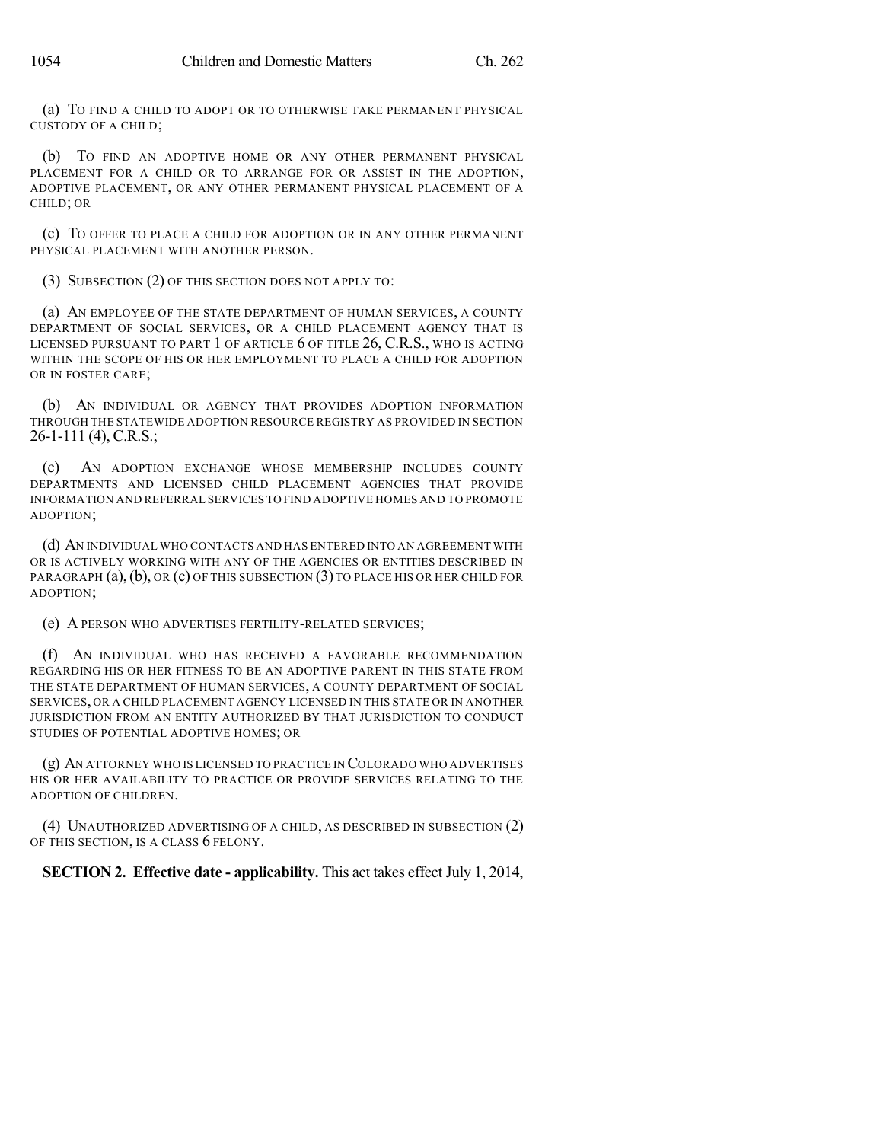(a) TO FIND A CHILD TO ADOPT OR TO OTHERWISE TAKE PERMANENT PHYSICAL CUSTODY OF A CHILD;

(b) TO FIND AN ADOPTIVE HOME OR ANY OTHER PERMANENT PHYSICAL PLACEMENT FOR A CHILD OR TO ARRANGE FOR OR ASSIST IN THE ADOPTION, ADOPTIVE PLACEMENT, OR ANY OTHER PERMANENT PHYSICAL PLACEMENT OF A CHILD; OR

(c) TO OFFER TO PLACE A CHILD FOR ADOPTION OR IN ANY OTHER PERMANENT PHYSICAL PLACEMENT WITH ANOTHER PERSON.

(3) SUBSECTION (2) OF THIS SECTION DOES NOT APPLY TO:

(a) AN EMPLOYEE OF THE STATE DEPARTMENT OF HUMAN SERVICES, A COUNTY DEPARTMENT OF SOCIAL SERVICES, OR A CHILD PLACEMENT AGENCY THAT IS LICENSED PURSUANT TO PART 1 OF ARTICLE 6 OF TITLE 26, C.R.S., WHO IS ACTING WITHIN THE SCOPE OF HIS OR HER EMPLOYMENT TO PLACE A CHILD FOR ADOPTION OR IN FOSTER CARE;

(b) AN INDIVIDUAL OR AGENCY THAT PROVIDES ADOPTION INFORMATION THROUGH THE STATEWIDE ADOPTION RESOURCE REGISTRY AS PROVIDED IN SECTION 26-1-111 (4), C.R.S.;

(c) AN ADOPTION EXCHANGE WHOSE MEMBERSHIP INCLUDES COUNTY DEPARTMENTS AND LICENSED CHILD PLACEMENT AGENCIES THAT PROVIDE INFORMATION AND REFERRAL SERVICES TO FIND ADOPTIVE HOMES AND TO PROMOTE ADOPTION;

(d) AN INDIVIDUAL WHO CONTACTS AND HAS ENTERED INTO AN AGREEMENT WITH OR IS ACTIVELY WORKING WITH ANY OF THE AGENCIES OR ENTITIES DESCRIBED IN PARAGRAPH  $(a)$ ,  $(b)$ , OR  $(c)$  OF THIS SUBSECTION  $(3)$  TO PLACE HIS OR HER CHILD FOR ADOPTION;

(e) A PERSON WHO ADVERTISES FERTILITY-RELATED SERVICES;

(f) AN INDIVIDUAL WHO HAS RECEIVED A FAVORABLE RECOMMENDATION REGARDING HIS OR HER FITNESS TO BE AN ADOPTIVE PARENT IN THIS STATE FROM THE STATE DEPARTMENT OF HUMAN SERVICES, A COUNTY DEPARTMENT OF SOCIAL SERVICES, OR A CHILD PLACEMENT AGENCY LICENSED IN THIS STATE OR IN ANOTHER JURISDICTION FROM AN ENTITY AUTHORIZED BY THAT JURISDICTION TO CONDUCT STUDIES OF POTENTIAL ADOPTIVE HOMES; OR

(g) AN ATTORNEY WHO IS LICENSED TO PRACTICE IN COLORADO WHO ADVERTISES HIS OR HER AVAILABILITY TO PRACTICE OR PROVIDE SERVICES RELATING TO THE ADOPTION OF CHILDREN.

(4) UNAUTHORIZED ADVERTISING OF A CHILD, AS DESCRIBED IN SUBSECTION (2) OF THIS SECTION, IS A CLASS 6 FELONY.

**SECTION 2. Effective date - applicability.** This act takes effect July 1, 2014,